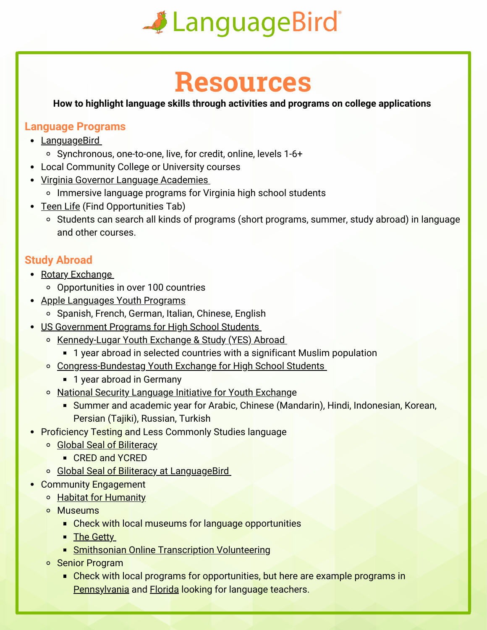

## **Resources**

**How to highlight language skills through activities and programs on college applications**

## **Language Programs**

- [LanguageBird](https://www.languagebird.com/high-school-courses-for-credit/)
	- Synchronous, one-to-one, live, for credit, online, levels 1-6+
- Local Community College or University courses
- [Virginia Governor Language Academies](https://www.doe.virginia.gov/instruction/foreign_language/language_academies/)
	- o Immersive language programs for Virginia high school students
- [Teen Life](https://teenlife.com/) (Find Opportunities Tab)
	- Students can search all kinds of programs (short programs, summer, study abroad) in language and other courses.

## **Study Abroad**

- [Rotary Exchange](https://www.rotary.org/en/our-programs/youth-exchanges)
	- Opportunities in over 100 countries
- [Apple Languages Youth Programs](https://www.applelanguages.com/en/learn/young-students/young-students.php)
	- o Spanish, French, German, Italian, Chinese, English
- [US Government Programs for High School Students](https://exchanges.state.gov/us/search/solr?f%5B0%5D=bundle%3Aexchange_program&f%5B1%5D=im_field_program_participant_typ%3A44&from_redirect=1)
	- [Kennedy-Lugar Youth Exchange & Study \(YES\) Abroad](https://exchanges.state.gov/us/program/kennedy-lugar-youth-exchange-study-yes-abroad)
		- **1** year abroad in selected countries with a significant Muslim population
	- [Congress-Bundestag Youth Exchange for High School Students](https://exchanges.state.gov/us/program/congress-bundestag-youth-exchange-high-school-students)
		- 1 year abroad in Germany
	- [National Security Language Initiative for Youth Exchang](https://exchanges.state.gov/us/program/nsliy)e
		- Summer and academic year for Arabic, Chinese (Mandarin), Hindi, Indonesian, Korean, Persian (Tajiki), Russian, Turkish
- Proficiency Testing and Less Commonly Studies language
	- **Global Seal of Biliteracy** 
		- CRED and YCRED
	- **[Global Seal of Biliteracy at LanguageBird](https://www.languagebird.com/global-seal-of-biliteracy/)**
- Community Engagement
	- **B** [Habitat for Humanity](https://www.habitat.org/volunteer)
	- **o** Museums
		- **Check with local museums for language opportunities**
		- **[The Getty](https://www.getty.edu/about/opportunities/volunteer_opps.html)**
		- **[Smithsonian Online Transcription Volunteering](https://transcription.si.edu/%20%20Senior%20Program)**
	- o Senior Program
		- **Check with local programs for opportunities, but here are example programs in** [Pennsylvania](https://scsdelco.org/volunteer/volunteer.shtml) and [Florida](https://discover.pbcgov.org/communityservices/seniorservices/pages/volunteer-opportunities.aspx) looking for language teachers.